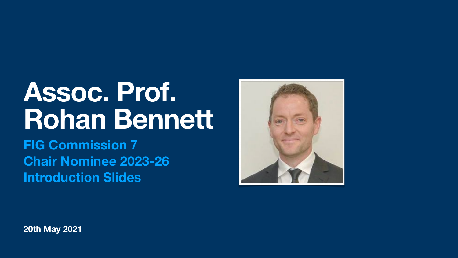**20th May 2021**



# **Assoc. Prof. Rohan Bennett FIG Commission 7 Chair Nominee 2023-26 Introduction Slides**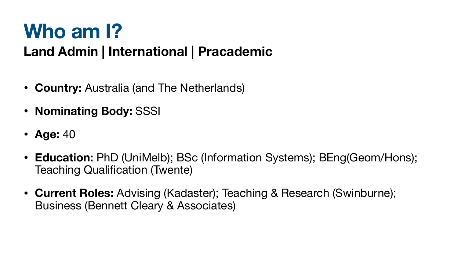# **Who am I? Land Admin | International | Pracademic**

• **Education:** PhD (UniMelb); BSc (Information Systems); BEng(Geom/Hons);

- **Country:** Australia (and The Netherlands)
- **Nominating Body:** SSSI
- **Age:** 40
- Teaching Qualification (Twente)
- **• Current Roles:** Advising (Kadaster); Teaching & Research (Swinburne); Business (Bennett Cleary & Associates)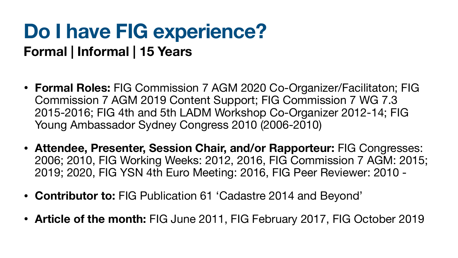# **Do I have FIG experience? Formal | Informal | 15 Years**

- **Formal Roles:** FIG Commission 7 AGM 2020 Co-Organizer/Facilitaton; FIG Commission 7 AGM 2019 Content Support; FIG Commission 7 WG 7.3 2015-2016; FIG 4th and 5th LADM Workshop Co-Organizer 2012-14; FIG Young Ambassador Sydney Congress 2010 (2006-2010)
- **• Attendee, Presenter, Session Chair, and/or Rapporteur:** FIG Congresses: 2006; 2010, FIG Working Weeks: 2012, 2016, FIG Commission 7 AGM: 2015; 2019; 2020, FIG YSN 4th Euro Meeting: 2016, FIG Peer Reviewer: 2010 -
- **• Contributor to:** FIG Publication 61 'Cadastre 2014 and Beyond'
- **Article of the month:** FIG June 2011, FIG February 2017, FIG October 2019

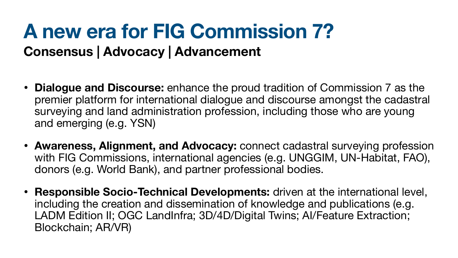# **A new era for FIG Commission 7? Consensus | Advocacy | Advancement**

• **Dialogue and Discourse:** enhance the proud tradition of Commission 7 as the premier platform for international dialogue and discourse amongst the cadastral surveying and land administration profession, including those who are young

• **Awareness, Alignment, and Advocacy:** connect cadastral surveying profession with FIG Commissions, international agencies (e.g. UNGGIM, UN-Habitat, FAO),

- and emerging (e.g. YSN)
- donors (e.g. World Bank), and partner professional bodies.
- Blockchain; AR/VR)

• **Responsible Socio-Technical Developments:** driven at the international level, including the creation and dissemination of knowledge and publications (e.g. LADM Edition II; OGC LandInfra; 3D/4D/Digital Twins; AI/Feature Extraction;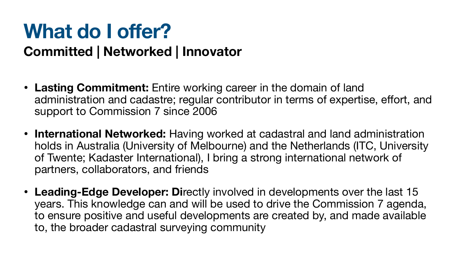# **What do I offer? Committed | Networked | Innovator**

administration and cadastre; regular contributor in terms of expertise, effort, and

• **International Networked:** Having worked at cadastral and land administration holds in Australia (University of Melbourne) and the Netherlands (ITC, University of Twente; Kadaster International), I bring a strong international network of

- **Lasting Commitment:** Entire working career in the domain of land support to Commission 7 since 2006
- partners, collaborators, and friends
- to, the broader cadastral surveying community

• **Leading-Edge Developer: Di**rectly involved in developments over the last 15 years. This knowledge can and will be used to drive the Commission 7 agenda, to ensure positive and useful developments are created by, and made available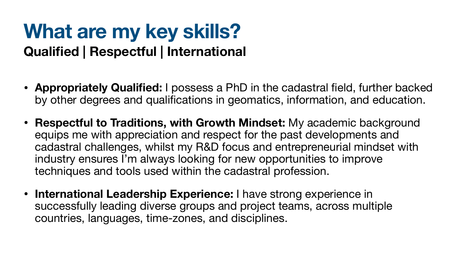# **What are my key skills? Qualified | Respectful | International**

• **Appropriately Qualified:** I possess a PhD in the cadastral field, further backed by other degrees and qualifications in geomatics, information, and education.

• **Respectful to Traditions, with Growth Mindset:** My academic background equips me with appreciation and respect for the past developments and cadastral challenges, whilst my R&D focus and entrepreneurial mindset with

- 
- industry ensures I'm always looking for new opportunities to improve techniques and tools used within the cadastral profession.
- **International Leadership Experience:** I have strong experience in successfully leading diverse groups and project teams, across multiple countries, languages, time-zones, and disciplines.